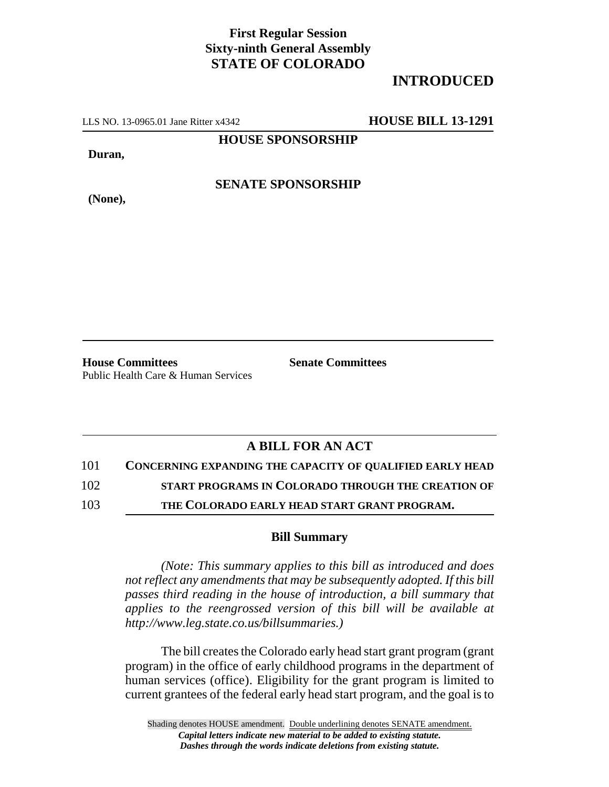## **First Regular Session Sixty-ninth General Assembly STATE OF COLORADO**

## **INTRODUCED**

LLS NO. 13-0965.01 Jane Ritter x4342 **HOUSE BILL 13-1291**

**HOUSE SPONSORSHIP**

**Duran,**

**(None),**

**SENATE SPONSORSHIP**

**House Committees Senate Committees** Public Health Care & Human Services

## **A BILL FOR AN ACT**

101 **CONCERNING EXPANDING THE CAPACITY OF QUALIFIED EARLY HEAD**

102 **START PROGRAMS IN COLORADO THROUGH THE CREATION OF**

103 **THE COLORADO EARLY HEAD START GRANT PROGRAM.**

## **Bill Summary**

*(Note: This summary applies to this bill as introduced and does not reflect any amendments that may be subsequently adopted. If this bill passes third reading in the house of introduction, a bill summary that applies to the reengrossed version of this bill will be available at http://www.leg.state.co.us/billsummaries.)*

The bill creates the Colorado early head start grant program (grant program) in the office of early childhood programs in the department of human services (office). Eligibility for the grant program is limited to current grantees of the federal early head start program, and the goal is to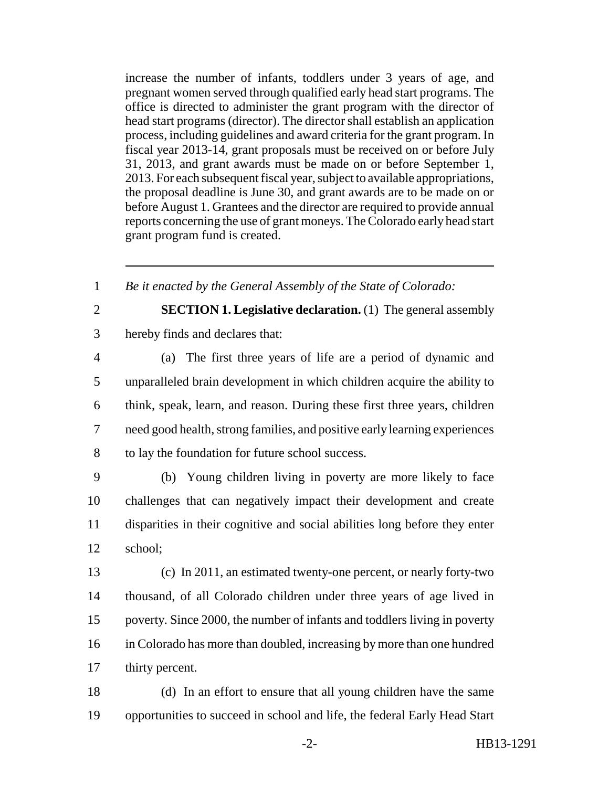increase the number of infants, toddlers under 3 years of age, and pregnant women served through qualified early head start programs. The office is directed to administer the grant program with the director of head start programs (director). The director shall establish an application process, including guidelines and award criteria for the grant program. In fiscal year 2013-14, grant proposals must be received on or before July 31, 2013, and grant awards must be made on or before September 1, 2013. For each subsequent fiscal year, subject to available appropriations, the proposal deadline is June 30, and grant awards are to be made on or before August 1. Grantees and the director are required to provide annual reports concerning the use of grant moneys. The Colorado early head start grant program fund is created.

1 *Be it enacted by the General Assembly of the State of Colorado:*

2 **SECTION 1. Legislative declaration.** (1) The general assembly 3 hereby finds and declares that:

 (a) The first three years of life are a period of dynamic and unparalleled brain development in which children acquire the ability to think, speak, learn, and reason. During these first three years, children need good health, strong families, and positive early learning experiences to lay the foundation for future school success.

 (b) Young children living in poverty are more likely to face challenges that can negatively impact their development and create disparities in their cognitive and social abilities long before they enter 12 school;

 (c) In 2011, an estimated twenty-one percent, or nearly forty-two thousand, of all Colorado children under three years of age lived in poverty. Since 2000, the number of infants and toddlers living in poverty in Colorado has more than doubled, increasing by more than one hundred thirty percent.

18 (d) In an effort to ensure that all young children have the same 19 opportunities to succeed in school and life, the federal Early Head Start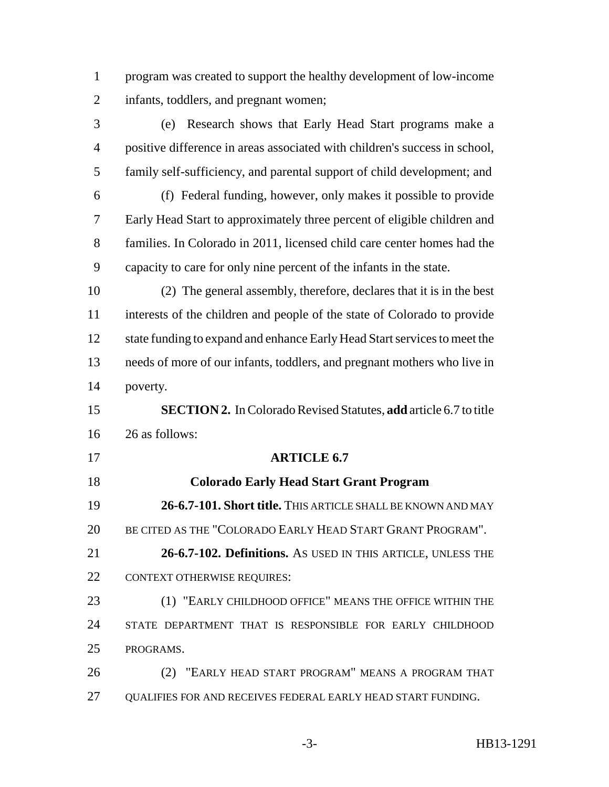program was created to support the healthy development of low-income infants, toddlers, and pregnant women;

 (e) Research shows that Early Head Start programs make a positive difference in areas associated with children's success in school, family self-sufficiency, and parental support of child development; and (f) Federal funding, however, only makes it possible to provide Early Head Start to approximately three percent of eligible children and families. In Colorado in 2011, licensed child care center homes had the capacity to care for only nine percent of the infants in the state. (2) The general assembly, therefore, declares that it is in the best interests of the children and people of the state of Colorado to provide 12 state funding to expand and enhance Early Head Start services to meet the needs of more of our infants, toddlers, and pregnant mothers who live in poverty. **SECTION 2.** In Colorado Revised Statutes, **add** article 6.7 to title 26 as follows: **ARTICLE 6.7 Colorado Early Head Start Grant Program 26-6.7-101. Short title.** THIS ARTICLE SHALL BE KNOWN AND MAY BE CITED AS THE "COLORADO EARLY HEAD START GRANT PROGRAM". **26-6.7-102. Definitions.** AS USED IN THIS ARTICLE, UNLESS THE 22 CONTEXT OTHERWISE REQUIRES: (1) "EARLY CHILDHOOD OFFICE" MEANS THE OFFICE WITHIN THE STATE DEPARTMENT THAT IS RESPONSIBLE FOR EARLY CHILDHOOD PROGRAMS. (2) "EARLY HEAD START PROGRAM" MEANS A PROGRAM THAT QUALIFIES FOR AND RECEIVES FEDERAL EARLY HEAD START FUNDING.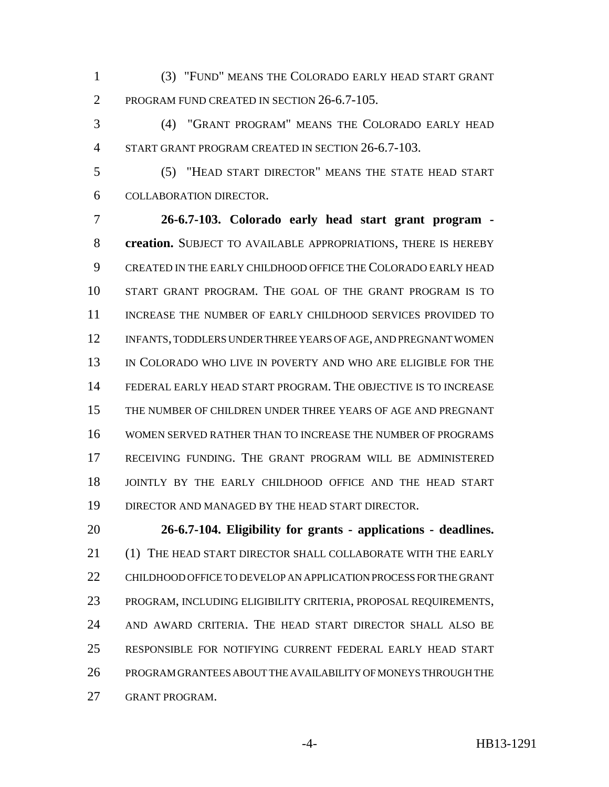(3) "FUND" MEANS THE COLORADO EARLY HEAD START GRANT PROGRAM FUND CREATED IN SECTION 26-6.7-105.

 (4) "GRANT PROGRAM" MEANS THE COLORADO EARLY HEAD START GRANT PROGRAM CREATED IN SECTION 26-6.7-103.

 (5) "HEAD START DIRECTOR" MEANS THE STATE HEAD START COLLABORATION DIRECTOR.

 **26-6.7-103. Colorado early head start grant program - creation.** SUBJECT TO AVAILABLE APPROPRIATIONS, THERE IS HEREBY CREATED IN THE EARLY CHILDHOOD OFFICE THE COLORADO EARLY HEAD START GRANT PROGRAM. THE GOAL OF THE GRANT PROGRAM IS TO INCREASE THE NUMBER OF EARLY CHILDHOOD SERVICES PROVIDED TO INFANTS, TODDLERS UNDER THREE YEARS OF AGE, AND PREGNANT WOMEN IN COLORADO WHO LIVE IN POVERTY AND WHO ARE ELIGIBLE FOR THE FEDERAL EARLY HEAD START PROGRAM. THE OBJECTIVE IS TO INCREASE THE NUMBER OF CHILDREN UNDER THREE YEARS OF AGE AND PREGNANT WOMEN SERVED RATHER THAN TO INCREASE THE NUMBER OF PROGRAMS RECEIVING FUNDING. THE GRANT PROGRAM WILL BE ADMINISTERED JOINTLY BY THE EARLY CHILDHOOD OFFICE AND THE HEAD START DIRECTOR AND MANAGED BY THE HEAD START DIRECTOR.

 **26-6.7-104. Eligibility for grants - applications - deadlines.** (1) THE HEAD START DIRECTOR SHALL COLLABORATE WITH THE EARLY CHILDHOOD OFFICE TO DEVELOP AN APPLICATION PROCESS FOR THE GRANT PROGRAM, INCLUDING ELIGIBILITY CRITERIA, PROPOSAL REQUIREMENTS, AND AWARD CRITERIA. THE HEAD START DIRECTOR SHALL ALSO BE RESPONSIBLE FOR NOTIFYING CURRENT FEDERAL EARLY HEAD START PROGRAM GRANTEES ABOUT THE AVAILABILITY OF MONEYS THROUGH THE GRANT PROGRAM.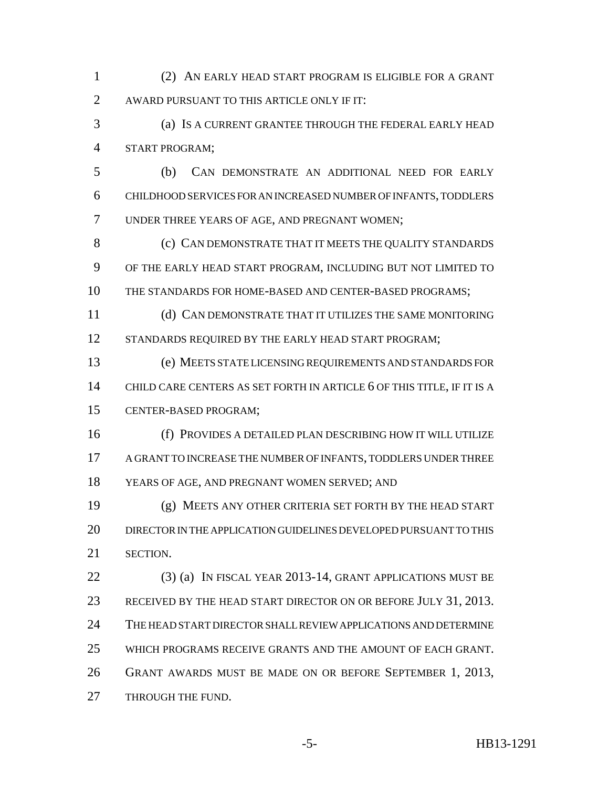(2) AN EARLY HEAD START PROGRAM IS ELIGIBLE FOR A GRANT AWARD PURSUANT TO THIS ARTICLE ONLY IF IT:

 (a) IS A CURRENT GRANTEE THROUGH THE FEDERAL EARLY HEAD START PROGRAM;

 (b) CAN DEMONSTRATE AN ADDITIONAL NEED FOR EARLY CHILDHOOD SERVICES FOR AN INCREASED NUMBER OF INFANTS, TODDLERS UNDER THREE YEARS OF AGE, AND PREGNANT WOMEN;

8 (c) CAN DEMONSTRATE THAT IT MEETS THE QUALITY STANDARDS OF THE EARLY HEAD START PROGRAM, INCLUDING BUT NOT LIMITED TO THE STANDARDS FOR HOME-BASED AND CENTER-BASED PROGRAMS;

 (d) CAN DEMONSTRATE THAT IT UTILIZES THE SAME MONITORING 12 STANDARDS REQUIRED BY THE EARLY HEAD START PROGRAM;

 (e) MEETS STATE LICENSING REQUIREMENTS AND STANDARDS FOR CHILD CARE CENTERS AS SET FORTH IN ARTICLE 6 OF THIS TITLE, IF IT IS A CENTER-BASED PROGRAM;

 (f) PROVIDES A DETAILED PLAN DESCRIBING HOW IT WILL UTILIZE A GRANT TO INCREASE THE NUMBER OF INFANTS, TODDLERS UNDER THREE YEARS OF AGE, AND PREGNANT WOMEN SERVED; AND

 (g) MEETS ANY OTHER CRITERIA SET FORTH BY THE HEAD START DIRECTOR IN THE APPLICATION GUIDELINES DEVELOPED PURSUANT TO THIS SECTION.

 (3) (a) IN FISCAL YEAR 2013-14, GRANT APPLICATIONS MUST BE 23 RECEIVED BY THE HEAD START DIRECTOR ON OR BEFORE JULY 31, 2013. THE HEAD START DIRECTOR SHALL REVIEW APPLICATIONS AND DETERMINE WHICH PROGRAMS RECEIVE GRANTS AND THE AMOUNT OF EACH GRANT. GRANT AWARDS MUST BE MADE ON OR BEFORE SEPTEMBER 1, 2013, 27 THROUGH THE FUND.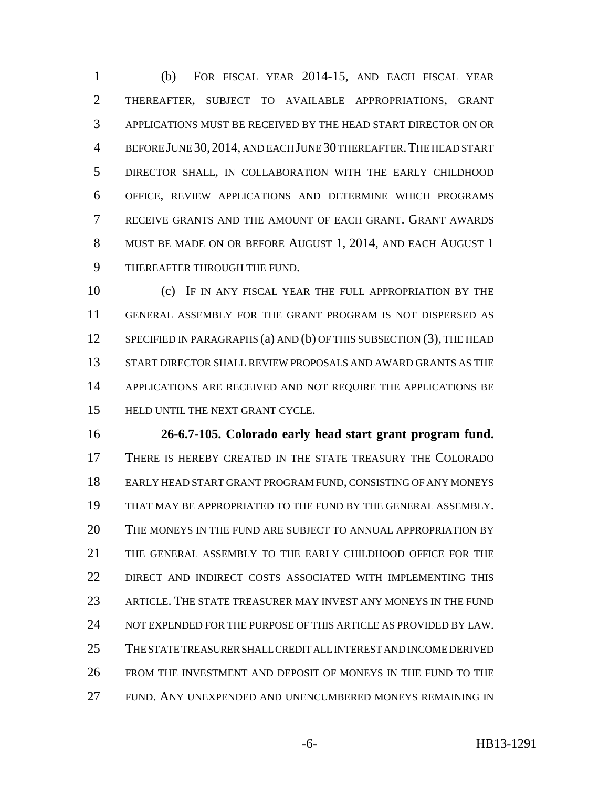(b) FOR FISCAL YEAR 2014-15, AND EACH FISCAL YEAR THEREAFTER, SUBJECT TO AVAILABLE APPROPRIATIONS, GRANT APPLICATIONS MUST BE RECEIVED BY THE HEAD START DIRECTOR ON OR BEFORE JUNE 30, 2014, AND EACH JUNE 30 THEREAFTER.THE HEAD START DIRECTOR SHALL, IN COLLABORATION WITH THE EARLY CHILDHOOD OFFICE, REVIEW APPLICATIONS AND DETERMINE WHICH PROGRAMS RECEIVE GRANTS AND THE AMOUNT OF EACH GRANT. GRANT AWARDS MUST BE MADE ON OR BEFORE AUGUST 1, 2014, AND EACH AUGUST 1 THEREAFTER THROUGH THE FUND.

 (c) IF IN ANY FISCAL YEAR THE FULL APPROPRIATION BY THE GENERAL ASSEMBLY FOR THE GRANT PROGRAM IS NOT DISPERSED AS 12 SPECIFIED IN PARAGRAPHS (a) AND (b) OF THIS SUBSECTION (3), THE HEAD START DIRECTOR SHALL REVIEW PROPOSALS AND AWARD GRANTS AS THE APPLICATIONS ARE RECEIVED AND NOT REQUIRE THE APPLICATIONS BE HELD UNTIL THE NEXT GRANT CYCLE.

 **26-6.7-105. Colorado early head start grant program fund.** THERE IS HEREBY CREATED IN THE STATE TREASURY THE COLORADO EARLY HEAD START GRANT PROGRAM FUND, CONSISTING OF ANY MONEYS THAT MAY BE APPROPRIATED TO THE FUND BY THE GENERAL ASSEMBLY. THE MONEYS IN THE FUND ARE SUBJECT TO ANNUAL APPROPRIATION BY THE GENERAL ASSEMBLY TO THE EARLY CHILDHOOD OFFICE FOR THE DIRECT AND INDIRECT COSTS ASSOCIATED WITH IMPLEMENTING THIS ARTICLE. THE STATE TREASURER MAY INVEST ANY MONEYS IN THE FUND NOT EXPENDED FOR THE PURPOSE OF THIS ARTICLE AS PROVIDED BY LAW. THE STATE TREASURER SHALL CREDIT ALL INTEREST AND INCOME DERIVED FROM THE INVESTMENT AND DEPOSIT OF MONEYS IN THE FUND TO THE FUND. ANY UNEXPENDED AND UNENCUMBERED MONEYS REMAINING IN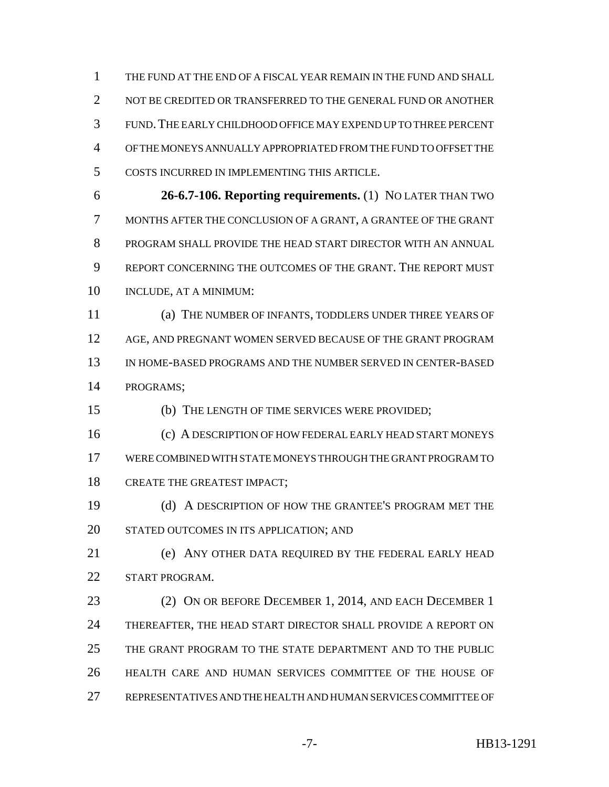THE FUND AT THE END OF A FISCAL YEAR REMAIN IN THE FUND AND SHALL 2 NOT BE CREDITED OR TRANSFERRED TO THE GENERAL FUND OR ANOTHER FUND.THE EARLY CHILDHOOD OFFICE MAY EXPEND UP TO THREE PERCENT OF THE MONEYS ANNUALLY APPROPRIATED FROM THE FUND TO OFFSET THE COSTS INCURRED IN IMPLEMENTING THIS ARTICLE.

 **26-6.7-106. Reporting requirements.** (1) NO LATER THAN TWO MONTHS AFTER THE CONCLUSION OF A GRANT, A GRANTEE OF THE GRANT PROGRAM SHALL PROVIDE THE HEAD START DIRECTOR WITH AN ANNUAL REPORT CONCERNING THE OUTCOMES OF THE GRANT. THE REPORT MUST INCLUDE, AT A MINIMUM:

 (a) THE NUMBER OF INFANTS, TODDLERS UNDER THREE YEARS OF 12 AGE, AND PREGNANT WOMEN SERVED BECAUSE OF THE GRANT PROGRAM IN HOME-BASED PROGRAMS AND THE NUMBER SERVED IN CENTER-BASED PROGRAMS;

(b) THE LENGTH OF TIME SERVICES WERE PROVIDED;

 (c) A DESCRIPTION OF HOW FEDERAL EARLY HEAD START MONEYS WERE COMBINED WITH STATE MONEYS THROUGH THE GRANT PROGRAM TO CREATE THE GREATEST IMPACT;

 (d) A DESCRIPTION OF HOW THE GRANTEE'S PROGRAM MET THE STATED OUTCOMES IN ITS APPLICATION; AND

 (e) ANY OTHER DATA REQUIRED BY THE FEDERAL EARLY HEAD 22 START PROGRAM.

 (2) ON OR BEFORE DECEMBER 1, 2014, AND EACH DECEMBER 1 THEREAFTER, THE HEAD START DIRECTOR SHALL PROVIDE A REPORT ON THE GRANT PROGRAM TO THE STATE DEPARTMENT AND TO THE PUBLIC HEALTH CARE AND HUMAN SERVICES COMMITTEE OF THE HOUSE OF REPRESENTATIVES AND THE HEALTH AND HUMAN SERVICES COMMITTEE OF